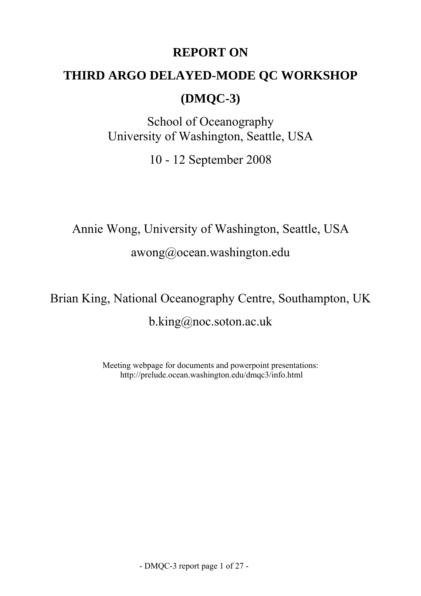## **REPORT ON**

# **THIRD ARGO DELAYED-MODE QC WORKSHOP**

## **(DMQC-3)**

School of Oceanography University of Washington, Seattle, USA

10 - 12 September 2008

Annie Wong, University of Washington, Seattle, USA

awong@ocean.washington.edu

Brian King, National Oceanography Centre, Southampton, UK b.king@noc.soton.ac.uk

> Meeting webpage for documents and powerpoint presentations: http://prelude.ocean.washington.edu/dmqc3/info.html

> > - DMQC-3 report page 1 of 27 -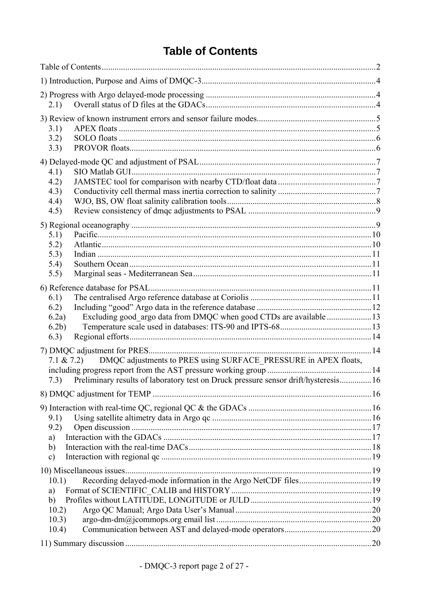## **Table of Contents**

<span id="page-1-0"></span>

| 2.1)                                                                                                                                                                         |  |  |  |
|------------------------------------------------------------------------------------------------------------------------------------------------------------------------------|--|--|--|
| 3.1)<br>3.2)<br>3.3)                                                                                                                                                         |  |  |  |
| 4.1)<br>4.2)<br>4.3)<br>4.4)<br>4.5)                                                                                                                                         |  |  |  |
| 5.1)<br>5.2)<br>5.3)<br>5.4)<br>5.5)                                                                                                                                         |  |  |  |
| 6.1)<br>6.2)<br>6.2a)<br>6.2 <sub>b</sub><br>6.3)                                                                                                                            |  |  |  |
| DMQC adjustments to PRES using SURFACE PRESSURE in APEX floats,<br>$7.1 \& 7.2)$<br>7.3) Preliminary results of laboratory test on Druck pressure sensor drift/hysteresis 16 |  |  |  |
|                                                                                                                                                                              |  |  |  |
| 9.1)<br>9.2)<br>a)<br>b)<br>$\mathbf{c})$                                                                                                                                    |  |  |  |
| 10.1)<br>a)<br>b)<br>10.2)<br>10.3)<br>10.4)                                                                                                                                 |  |  |  |
|                                                                                                                                                                              |  |  |  |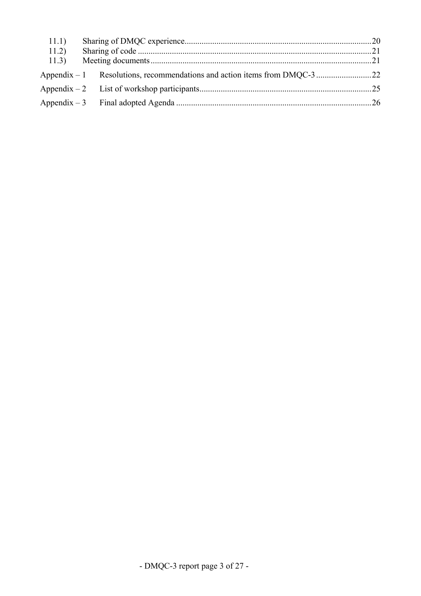| 11.1) |  |  |
|-------|--|--|
| 11.2) |  |  |
| 11.3) |  |  |
|       |  |  |
|       |  |  |
|       |  |  |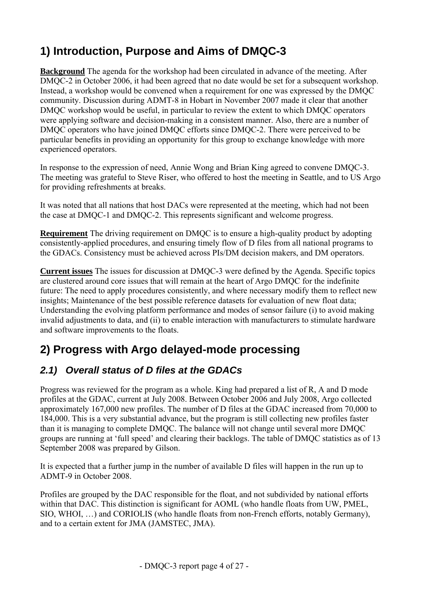# <span id="page-3-0"></span>**1) Introduction, Purpose and Aims of DMQC-3**

**Background** The agenda for the workshop had been circulated in advance of the meeting. After DMQC-2 in October 2006, it had been agreed that no date would be set for a subsequent workshop. Instead, a workshop would be convened when a requirement for one was expressed by the DMQC community. Discussion during ADMT-8 in Hobart in November 2007 made it clear that another DMQC workshop would be useful, in particular to review the extent to which DMQC operators were applying software and decision-making in a consistent manner. Also, there are a number of DMQC operators who have joined DMQC efforts since DMQC-2. There were perceived to be particular benefits in providing an opportunity for this group to exchange knowledge with more experienced operators.

In response to the expression of need, Annie Wong and Brian King agreed to convene DMQC-3. The meeting was grateful to Steve Riser, who offered to host the meeting in Seattle, and to US Argo for providing refreshments at breaks.

It was noted that all nations that host DACs were represented at the meeting, which had not been the case at DMQC-1 and DMQC-2. This represents significant and welcome progress.

**Requirement** The driving requirement on DMQC is to ensure a high-quality product by adopting consistently-applied procedures, and ensuring timely flow of D files from all national programs to the GDACs. Consistency must be achieved across PIs/DM decision makers, and DM operators.

**Current issues** The issues for discussion at DMQC-3 were defined by the Agenda. Specific topics are clustered around core issues that will remain at the heart of Argo DMQC for the indefinite future: The need to apply procedures consistently, and where necessary modify them to reflect new insights; Maintenance of the best possible reference datasets for evaluation of new float data; Understanding the evolving platform performance and modes of sensor failure (i) to avoid making invalid adjustments to data, and (ii) to enable interaction with manufacturers to stimulate hardware and software improvements to the floats.

# **2) Progress with Argo delayed-mode processing**

## *2.1) Overall status of D files at the GDACs*

Progress was reviewed for the program as a whole. King had prepared a list of R, A and D mode profiles at the GDAC, current at July 2008. Between October 2006 and July 2008, Argo collected approximately 167,000 new profiles. The number of D files at the GDAC increased from 70,000 to 184,000. This is a very substantial advance, but the program is still collecting new profiles faster than it is managing to complete DMQC. The balance will not change until several more DMQC groups are running at 'full speed' and clearing their backlogs. The table of DMQC statistics as of 13 September 2008 was prepared by Gilson.

It is expected that a further jump in the number of available D files will happen in the run up to ADMT-9 in October 2008.

Profiles are grouped by the DAC responsible for the float, and not subdivided by national efforts within that DAC. This distinction is significant for AOML (who handle floats from UW, PMEL, SIO, WHOI, …) and CORIOLIS (who handle floats from non-French efforts, notably Germany), and to a certain extent for JMA (JAMSTEC, JMA).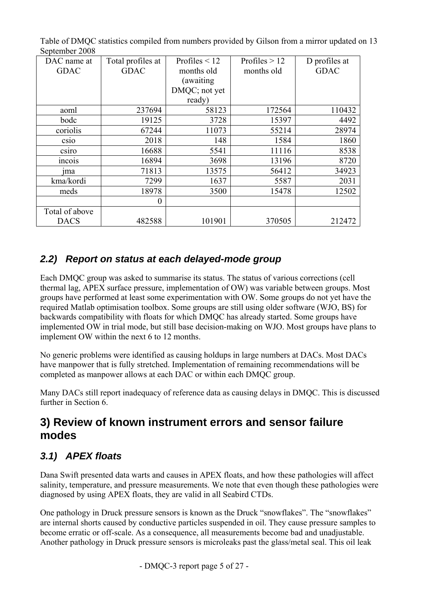| DAC name at     | Total profiles at | Profiles $\leq 12$ | Profiles $> 12$ | D profiles at |
|-----------------|-------------------|--------------------|-----------------|---------------|
| <b>GDAC</b>     | <b>GDAC</b>       | months old         | months old      | <b>GDAC</b>   |
|                 |                   | (awaiting          |                 |               |
|                 |                   | DMQC; not yet      |                 |               |
|                 |                   | ready)             |                 |               |
| aoml            | 237694            | 58123              | 172564          | 110432        |
| bodc            | 19125             | 3728               | 15397           | 4492          |
| coriolis        | 67244             | 11073              | 55214           | 28974         |
| CS1O            | 2018              | 148                | 1584            | 1860          |
| csiro           | 16688             | 5541               | 11116           | 8538          |
| Incois          | 16894             | 3698               | 13196           | 8720          |
| <sub>1</sub> ma | 71813             | 13575              | 56412           | 34923         |
| kma/kordi       | 7299              | 1637               | 5587            | 2031          |
| meds            | 18978             | 3500               | 15478           | 12502         |
|                 | $\boldsymbol{0}$  |                    |                 |               |
| Total of above  |                   |                    |                 |               |
| <b>DACS</b>     | 482588            | 101901             | 370505          | 212472        |

<span id="page-4-0"></span>Table of DMQC statistics compiled from numbers provided by Gilson from a mirror updated on 13 September 2008

### *2.2) Report on status at each delayed-mode group*

Each DMQC group was asked to summarise its status. The status of various corrections (cell thermal lag, APEX surface pressure, implementation of OW) was variable between groups. Most groups have performed at least some experimentation with OW. Some groups do not yet have the required Matlab optimisation toolbox. Some groups are still using older software (WJO, BS) for backwards compatibility with floats for which DMQC has already started. Some groups have implemented OW in trial mode, but still base decision-making on WJO. Most groups have plans to implement OW within the next 6 to 12 months.

No generic problems were identified as causing holdups in large numbers at DACs. Most DACs have manpower that is fully stretched. Implementation of remaining recommendations will be completed as manpower allows at each DAC or within each DMQC group.

Many DACs still report inadequacy of reference data as causing delays in DMQC. This is discussed further in Section 6.

## **3) Review of known instrument errors and sensor failure modes**

## *3.1) APEX floats*

Dana Swift presented data warts and causes in APEX floats, and how these pathologies will affect salinity, temperature, and pressure measurements. We note that even though these pathologies were diagnosed by using APEX floats, they are valid in all Seabird CTDs.

One pathology in Druck pressure sensors is known as the Druck "snowflakes". The "snowflakes" are internal shorts caused by conductive particles suspended in oil. They cause pressure samples to become erratic or off-scale. As a consequence, all measurements become bad and unadjustable. Another pathology in Druck pressure sensors is microleaks past the glass/metal seal. This oil leak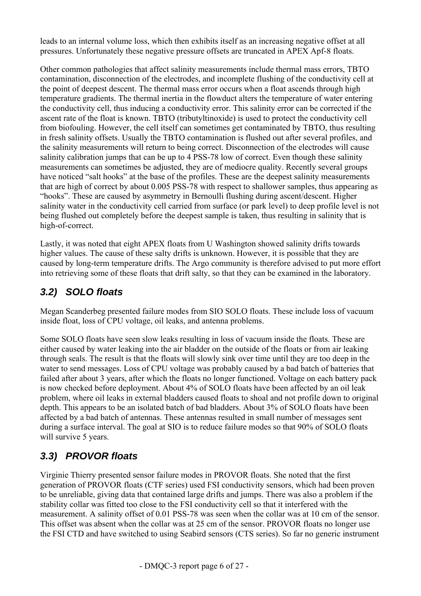<span id="page-5-0"></span>leads to an internal volume loss, which then exhibits itself as an increasing negative offset at all pressures. Unfortunately these negative pressure offsets are truncated in APEX Apf-8 floats.

Other common pathologies that affect salinity measurements include thermal mass errors, TBTO contamination, disconnection of the electrodes, and incomplete flushing of the conductivity cell at the point of deepest descent. The thermal mass error occurs when a float ascends through high temperature gradients. The thermal inertia in the flowduct alters the temperature of water entering the conductivity cell, thus inducing a conductivity error. This salinity error can be corrected if the ascent rate of the float is known. TBTO (tributyltinoxide) is used to protect the conductivity cell from biofouling. However, the cell itself can sometimes get contaminated by TBTO, thus resulting in fresh salinity offsets. Usually the TBTO contamination is flushed out after several profiles, and the salinity measurements will return to being correct. Disconnection of the electrodes will cause salinity calibration jumps that can be up to 4 PSS-78 low of correct. Even though these salinity measurements can sometimes be adjusted, they are of mediocre quality. Recently several groups have noticed "salt hooks" at the base of the profiles. These are the deepest salinity measurements that are high of correct by about 0.005 PSS-78 with respect to shallower samples, thus appearing as "hooks". These are caused by asymmetry in Bernoulli flushing during ascent/descent. Higher salinity water in the conductivity cell carried from surface (or park level) to deep profile level is not being flushed out completely before the deepest sample is taken, thus resulting in salinity that is high-of-correct.

Lastly, it was noted that eight APEX floats from U Washington showed salinity drifts towards higher values. The cause of these salty drifts is unknown. However, it is possible that they are caused by long-term temperature drifts. The Argo community is therefore advised to put more effort into retrieving some of these floats that drift salty, so that they can be examined in the laboratory.

### *3.2) SOLO floats*

Megan Scanderbeg presented failure modes from SIO SOLO floats. These include loss of vacuum inside float, loss of CPU voltage, oil leaks, and antenna problems.

Some SOLO floats have seen slow leaks resulting in loss of vacuum inside the floats. These are either caused by water leaking into the air bladder on the outside of the floats or from air leaking through seals. The result is that the floats will slowly sink over time until they are too deep in the water to send messages. Loss of CPU voltage was probably caused by a bad batch of batteries that failed after about 3 years, after which the floats no longer functioned. Voltage on each battery pack is now checked before deployment. About 4% of SOLO floats have been affected by an oil leak problem, where oil leaks in external bladders caused floats to shoal and not profile down to original depth. This appears to be an isolated batch of bad bladders. About 3% of SOLO floats have been affected by a bad batch of antennas. These antennas resulted in small number of messages sent during a surface interval. The goal at SIO is to reduce failure modes so that 90% of SOLO floats will survive 5 years.

## *3.3) PROVOR floats*

Virginie Thierry presented sensor failure modes in PROVOR floats. She noted that the first generation of PROVOR floats (CTF series) used FSI conductivity sensors, which had been proven to be unreliable, giving data that contained large drifts and jumps. There was also a problem if the stability collar was fitted too close to the FSI conductivity cell so that it interfered with the measurement. A salinity offset of 0.01 PSS-78 was seen when the collar was at 10 cm of the sensor. This offset was absent when the collar was at 25 cm of the sensor. PROVOR floats no longer use the FSI CTD and have switched to using Seabird sensors (CTS series). So far no generic instrument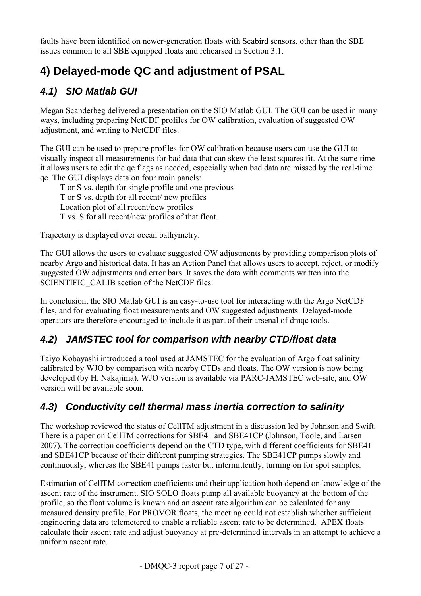<span id="page-6-0"></span>faults have been identified on newer-generation floats with Seabird sensors, other than the SBE issues common to all SBE equipped floats and rehearsed in Section 3.1.

# **4) Delayed-mode QC and adjustment of PSAL**

## *4.1) SIO Matlab GUI*

Megan Scanderbeg delivered a presentation on the SIO Matlab GUI. The GUI can be used in many ways, including preparing NetCDF profiles for OW calibration, evaluation of suggested OW adjustment, and writing to NetCDF files.

The GUI can be used to prepare profiles for OW calibration because users can use the GUI to visually inspect all measurements for bad data that can skew the least squares fit. At the same time it allows users to edit the qc flags as needed, especially when bad data are missed by the real-time qc. The GUI displays data on four main panels:

T or S vs. depth for single profile and one previous T or S vs. depth for all recent/ new profiles Location plot of all recent/new profiles T vs. S for all recent/new profiles of that float.

Trajectory is displayed over ocean bathymetry.

The GUI allows the users to evaluate suggested OW adjustments by providing comparison plots of nearby Argo and historical data. It has an Action Panel that allows users to accept, reject, or modify suggested OW adjustments and error bars. It saves the data with comments written into the SCIENTIFIC CALIB section of the NetCDF files.

In conclusion, the SIO Matlab GUI is an easy-to-use tool for interacting with the Argo NetCDF files, and for evaluating float measurements and OW suggested adjustments. Delayed-mode operators are therefore encouraged to include it as part of their arsenal of dmqc tools.

### *4.2) JAMSTEC tool for comparison with nearby CTD/float data*

Taiyo Kobayashi introduced a tool used at JAMSTEC for the evaluation of Argo float salinity calibrated by WJO by comparison with nearby CTDs and floats. The OW version is now being developed (by H. Nakajima). WJO version is available via PARC-JAMSTEC web-site, and OW version will be available soon.

### *4.3) Conductivity cell thermal mass inertia correction to salinity*

The workshop reviewed the status of CellTM adjustment in a discussion led by Johnson and Swift. There is a paper on CellTM corrections for SBE41 and SBE41CP (Johnson, Toole, and Larsen 2007). The correction coefficients depend on the CTD type, with different coefficients for SBE41 and SBE41CP because of their different pumping strategies. The SBE41CP pumps slowly and continuously, whereas the SBE41 pumps faster but intermittently, turning on for spot samples.

Estimation of CellTM correction coefficients and their application both depend on knowledge of the ascent rate of the instrument. SIO SOLO floats pump all available buoyancy at the bottom of the profile, so the float volume is known and an ascent rate algorithm can be calculated for any measured density profile. For PROVOR floats, the meeting could not establish whether sufficient engineering data are telemetered to enable a reliable ascent rate to be determined. APEX floats calculate their ascent rate and adjust buoyancy at pre-determined intervals in an attempt to achieve a uniform ascent rate.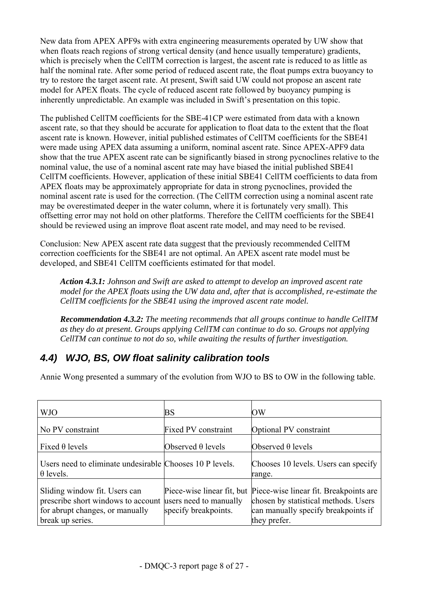<span id="page-7-0"></span>New data from APEX APF9s with extra engineering measurements operated by UW show that when floats reach regions of strong vertical density (and hence usually temperature) gradients, which is precisely when the CellTM correction is largest, the ascent rate is reduced to as little as half the nominal rate. After some period of reduced ascent rate, the float pumps extra buoyancy to try to restore the target ascent rate. At present, Swift said UW could not propose an ascent rate model for APEX floats. The cycle of reduced ascent rate followed by buoyancy pumping is inherently unpredictable. An example was included in Swift's presentation on this topic.

The published CellTM coefficients for the SBE-41CP were estimated from data with a known ascent rate, so that they should be accurate for application to float data to the extent that the float ascent rate is known. However, initial published estimates of CellTM coefficients for the SBE41 were made using APEX data assuming a uniform, nominal ascent rate. Since APEX-APF9 data show that the true APEX ascent rate can be significantly biased in strong pycnoclines relative to the nominal value, the use of a nominal ascent rate may have biased the initial published SBE41 CellTM coefficients. However, application of these initial SBE41 CellTM coefficients to data from APEX floats may be approximately appropriate for data in strong pycnoclines, provided the nominal ascent rate is used for the correction. (The CellTM correction using a nominal ascent rate may be overestimated deeper in the water column, where it is fortunately very small). This offsetting error may not hold on other platforms. Therefore the CellTM coefficients for the SBE41 should be reviewed using an improve float ascent rate model, and may need to be revised.

Conclusion: New APEX ascent rate data suggest that the previously recommended CellTM correction coefficients for the SBE41 are not optimal. An APEX ascent rate model must be developed, and SBE41 CellTM coefficients estimated for that model.

*Action 4.3.1: Johnson and Swift are asked to attempt to develop an improved ascent rate model for the APEX floats using the UW data and, after that is accomplished, re-estimate the CellTM coefficients for the SBE41 using the improved ascent rate model.* 

*Recommendation 4.3.2: The meeting recommends that all groups continue to handle CellTM as they do at present. Groups applying CellTM can continue to do so. Groups not applying CellTM can continue to not do so, while awaiting the results of further investigation.*

### *4.4) WJO, BS, OW float salinity calibration tools*

Annie Wong presented a summary of the evolution from WJO to BS to OW in the following table.

| <b>WJO</b>                                                                                                                                        | <b>BS</b>                  | ΟW                                                                                                                                                               |
|---------------------------------------------------------------------------------------------------------------------------------------------------|----------------------------|------------------------------------------------------------------------------------------------------------------------------------------------------------------|
| No PV constraint                                                                                                                                  | <b>Fixed PV</b> constraint | Optional PV constraint                                                                                                                                           |
| Fixed $\theta$ levels                                                                                                                             | Observed $\theta$ levels   | Observed $\theta$ levels                                                                                                                                         |
| Users need to eliminate undesirable Chooses 10 P levels.<br>$\theta$ levels.                                                                      |                            | Chooses 10 levels. Users can specify<br>range.                                                                                                                   |
| Sliding window fit. Users can<br>prescribe short windows to account users need to manually<br>for abrupt changes, or manually<br>break up series. | specify breakpoints.       | Piece-wise linear fit, but Piece-wise linear fit. Breakpoints are<br>chosen by statistical methods. Users<br>can manually specify breakpoints if<br>they prefer. |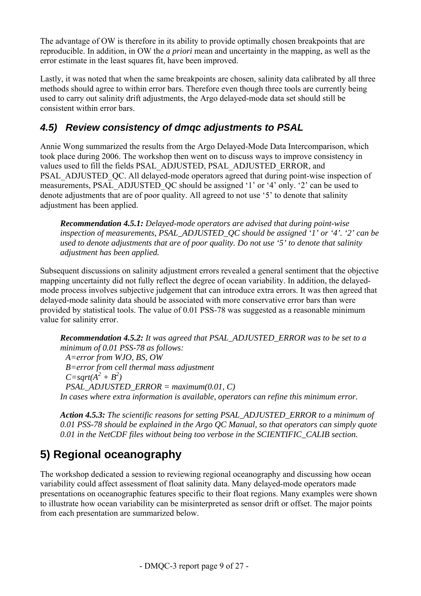<span id="page-8-0"></span>The advantage of OW is therefore in its ability to provide optimally chosen breakpoints that are reproducible. In addition, in OW the *a priori* mean and uncertainty in the mapping, as well as the error estimate in the least squares fit, have been improved.

Lastly, it was noted that when the same breakpoints are chosen, salinity data calibrated by all three methods should agree to within error bars. Therefore even though three tools are currently being used to carry out salinity drift adjustments, the Argo delayed-mode data set should still be consistent within error bars.

### *4.5) Review consistency of dmqc adjustments to PSAL*

Annie Wong summarized the results from the Argo Delayed-Mode Data Intercomparison, which took place during 2006. The workshop then went on to discuss ways to improve consistency in values used to fill the fields PSAL\_ADJUSTED, PSAL\_ADJUSTED\_ERROR, and PSAL\_ADJUSTED\_OC. All delayed-mode operators agreed that during point-wise inspection of measurements, PSAL\_ADJUSTED\_QC should be assigned '1' or '4' only. '2' can be used to denote adjustments that are of poor quality. All agreed to not use '5' to denote that salinity adjustment has been applied.

*Recommendation 4.5.1: Delayed-mode operators are advised that during point-wise inspection of measurements, PSAL\_ADJUSTED\_QC should be assigned '1' or '4'. '2' can be used to denote adjustments that are of poor quality. Do not use '5' to denote that salinity adjustment has been applied.* 

Subsequent discussions on salinity adjustment errors revealed a general sentiment that the objective mapping uncertainty did not fully reflect the degree of ocean variability. In addition, the delayedmode process involves subjective judgement that can introduce extra errors. It was then agreed that delayed-mode salinity data should be associated with more conservative error bars than were provided by statistical tools. The value of 0.01 PSS-78 was suggested as a reasonable minimum value for salinity error.

*Recommendation 4.5.2: It was agreed that PSAL\_ADJUSTED\_ERROR was to be set to a minimum of 0.01 PSS-78 as follows: A=error from WJO, BS, OW B=error from cell thermal mass adjustment*   $C = sqrt(A^2 + B^2)$ *PSAL\_ADJUSTED\_ERROR = maximum(0.01, C) In cases where extra information is available, operators can refine this minimum error.* 

*Action 4.5.3: The scientific reasons for setting PSAL\_ADJUSTED\_ERROR to a minimum of 0.01 PSS-78 should be explained in the Argo QC Manual, so that operators can simply quote 0.01 in the NetCDF files without being too verbose in the SCIENTIFIC\_CALIB section.* 

## **5) Regional oceanography**

The workshop dedicated a session to reviewing regional oceanography and discussing how ocean variability could affect assessment of float salinity data. Many delayed-mode operators made presentations on oceanographic features specific to their float regions. Many examples were shown to illustrate how ocean variability can be misinterpreted as sensor drift or offset. The major points from each presentation are summarized below.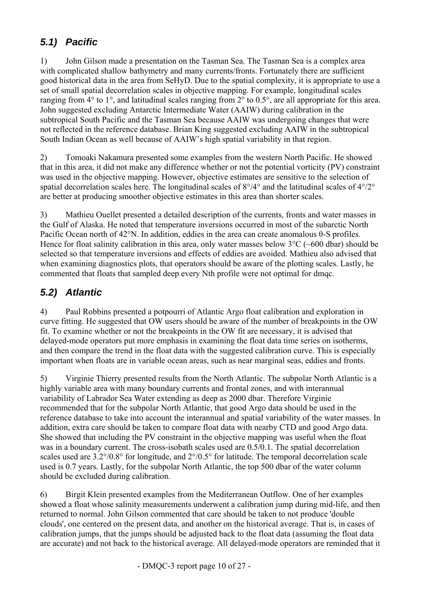## <span id="page-9-0"></span>*5.1) Pacific*

1) John Gilson made a presentation on the Tasman Sea. The Tasman Sea is a complex area with complicated shallow bathymetry and many currents/fronts. Fortunately there are sufficient good historical data in the area from SeHyD. Due to the spatial complexity, it is appropriate to use a set of small spatial decorrelation scales in objective mapping. For example, longitudinal scales ranging from 4° to 1°, and latitudinal scales ranging from 2° to 0.5°, are all appropriate for this area. John suggested excluding Antarctic Intermediate Water (AAIW) during calibration in the subtropical South Pacific and the Tasman Sea because AAIW was undergoing changes that were not reflected in the reference database. Brian King suggested excluding AAIW in the subtropical South Indian Ocean as well because of AAIW's high spatial variability in that region.

2) Tomoaki Nakamura presented some examples from the western North Pacific. He showed that in this area, it did not make any difference whether or not the potential vorticity (PV) constraint was used in the objective mapping. However, objective estimates are sensitive to the selection of spatial decorrelation scales here. The longitudinal scales of 8°/4° and the latitudinal scales of 4°/2° are better at producing smoother objective estimates in this area than shorter scales.

3) Mathieu Ouellet presented a detailed description of the currents, fronts and water masses in the Gulf of Alaska. He noted that temperature inversions occurred in most of the subarctic North Pacific Ocean north of 42°N. In addition, eddies in the area can create anomalous θ-S profiles. Hence for float salinity calibration in this area, only water masses below 3<sup>o</sup>C (~600 dbar) should be selected so that temperature inversions and effects of eddies are avoided. Mathieu also advised that when examining diagnostics plots, that operators should be aware of the plotting scales. Lastly, he commented that floats that sampled deep every Nth profile were not optimal for dmqc.

### *5.2) Atlantic*

4) Paul Robbins presented a potpourri of Atlantic Argo float calibration and exploration in curve fitting. He suggested that OW users should be aware of the number of breakpoints in the OW fit. To examine whether or not the breakpoints in the OW fit are necessary, it is advised that delayed-mode operators put more emphasis in examining the float data time series on isotherms, and then compare the trend in the float data with the suggested calibration curve. This is especially important when floats are in variable ocean areas, such as near marginal seas, eddies and fronts.

5) Virginie Thierry presented results from the North Atlantic. The subpolar North Atlantic is a highly variable area with many boundary currents and frontal zones, and with interannual variability of Labrador Sea Water extending as deep as 2000 dbar. Therefore Virginie recommended that for the subpolar North Atlantic, that good Argo data should be used in the reference database to take into account the interannual and spatial variability of the water masses. In addition, extra care should be taken to compare float data with nearby CTD and good Argo data. She showed that including the PV constraint in the objective mapping was useful when the float was in a boundary current. The cross-isobath scales used are 0.5/0.1. The spatial decorrelation scales used are 3.2°/0.8° for longitude, and 2°/0.5° for latitude. The temporal decorrelation scale used is 0.7 years. Lastly, for the subpolar North Atlantic, the top 500 dbar of the water column should be excluded during calibration.

6) Birgit Klein presented examples from the Mediterranean Outflow. One of her examples showed a float whose salinity measurements underwent a calibration jump during mid-life, and then returned to normal. John Gilson commented that care should be taken to not produce 'double clouds', one centered on the present data, and another on the historical average. That is, in cases of calibration jumps, that the jumps should be adjusted back to the float data (assuming the float data are accurate) and not back to the historical average. All delayed-mode operators are reminded that it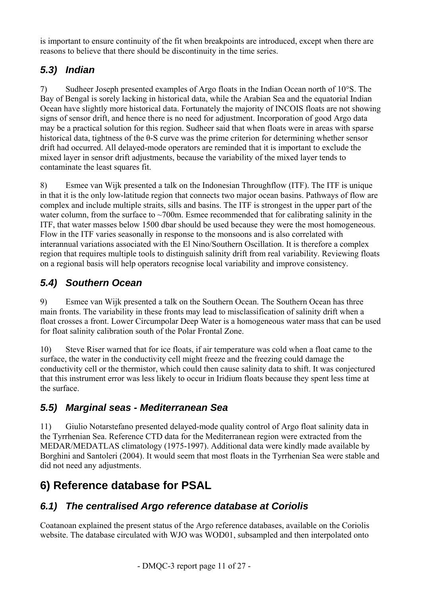<span id="page-10-0"></span>is important to ensure continuity of the fit when breakpoints are introduced, except when there are reasons to believe that there should be discontinuity in the time series.

### *5.3) Indian*

7) Sudheer Joseph presented examples of Argo floats in the Indian Ocean north of 10°S. The Bay of Bengal is sorely lacking in historical data, while the Arabian Sea and the equatorial Indian Ocean have slightly more historical data. Fortunately the majority of INCOIS floats are not showing signs of sensor drift, and hence there is no need for adjustment. Incorporation of good Argo data may be a practical solution for this region. Sudheer said that when floats were in areas with sparse historical data, tightness of the θ-S curve was the prime criterion for determining whether sensor drift had occurred. All delayed-mode operators are reminded that it is important to exclude the mixed layer in sensor drift adjustments, because the variability of the mixed layer tends to contaminate the least squares fit.

8) Esmee van Wijk presented a talk on the Indonesian Throughflow (ITF). The ITF is unique in that it is the only low-latitude region that connects two major ocean basins. Pathways of flow are complex and include multiple straits, sills and basins. The ITF is strongest in the upper part of the water column, from the surface to  $\sim$ 700m. Esmee recommended that for calibrating salinity in the ITF, that water masses below 1500 dbar should be used because they were the most homogeneous. Flow in the ITF varies seasonally in response to the monsoons and is also correlated with interannual variations associated with the El Nino/Southern Oscillation. It is therefore a complex region that requires multiple tools to distinguish salinity drift from real variability. Reviewing floats on a regional basis will help operators recognise local variability and improve consistency.

### *5.4) Southern Ocean*

9) Esmee van Wijk presented a talk on the Southern Ocean. The Southern Ocean has three main fronts. The variability in these fronts may lead to misclassification of salinity drift when a float crosses a front. Lower Circumpolar Deep Water is a homogeneous water mass that can be used for float salinity calibration south of the Polar Frontal Zone.

10) Steve Riser warned that for ice floats, if air temperature was cold when a float came to the surface, the water in the conductivity cell might freeze and the freezing could damage the conductivity cell or the thermistor, which could then cause salinity data to shift. It was conjectured that this instrument error was less likely to occur in Iridium floats because they spent less time at the surface.

### *5.5) Marginal seas - Mediterranean Sea*

11) Giulio Notarstefano presented delayed-mode quality control of Argo float salinity data in the Tyrrhenian Sea. Reference CTD data for the Mediterranean region were extracted from the MEDAR/MEDATLAS climatology (1975-1997). Additional data were kindly made available by Borghini and Santoleri (2004). It would seem that most floats in the Tyrrhenian Sea were stable and did not need any adjustments.

# **6) Reference database for PSAL**

### *6.1) The centralised Argo reference database at Coriolis*

Coatanoan explained the present status of the Argo reference databases, available on the Coriolis website. The database circulated with WJO was WOD01, subsampled and then interpolated onto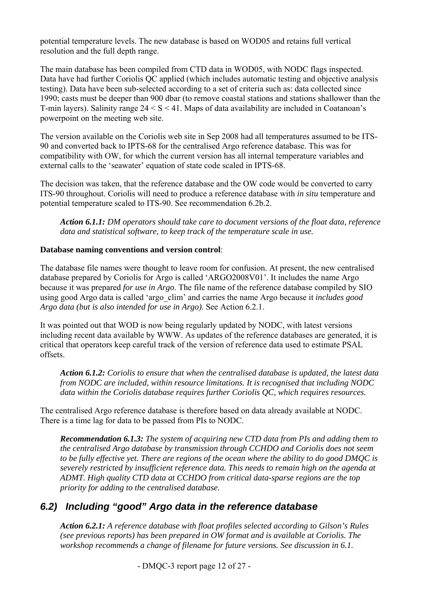<span id="page-11-0"></span>potential temperature levels. The new database is based on WOD05 and retains full vertical resolution and the full depth range.

The main database has been compiled from CTD data in WOD05, with NODC flags inspected. Data have had further Coriolis QC applied (which includes automatic testing and objective analysis testing). Data have been sub-selected according to a set of criteria such as: data collected since 1990; casts must be deeper than 900 dbar (to remove coastal stations and stations shallower than the T-min layers). Salinity range 24 < S < 41. Maps of data availability are included in Coatanoan's powerpoint on the meeting web site.

The version available on the Coriolis web site in Sep 2008 had all temperatures assumed to be ITS-90 and converted back to IPTS-68 for the centralised Argo reference database. This was for compatibility with OW, for which the current version has all internal temperature variables and external calls to the 'seawater' equation of state code scaled in IPTS-68.

The decision was taken, that the reference database and the OW code would be converted to carry ITS-90 throughout. Coriolis will need to produce a reference database with *in situ* temperature and potential temperature scaled to ITS-90. See recommendation 6.2b.2.

*Action 6.1.1: DM operators should take care to document versions of the float data, reference data and statistical software, to keep track of the temperature scale in use.* 

#### **Database naming conventions and version control**:

The database file names were thought to leave room for confusion. At present, the new centralised database prepared by Coriolis for Argo is called 'ARGO2008V01'. It includes the name Argo because it was prepared *for use in Argo*. The file name of the reference database compiled by SIO using good Argo data is called 'argo\_clim' and carries the name Argo because it *includes good Argo data (but is also intended for use in Argo)*. See Action 6.2.1.

It was pointed out that WOD is now being regularly updated by NODC, with latest versions including recent data available by WWW. As updates of the reference databases are generated, it is critical that operators keep careful track of the version of reference data used to estimate PSAL offsets.

*Action 6.1.2: Coriolis to ensure that when the centralised database is updated, the latest data from NODC are included, within resource limitations. It is recognised that including NODC data within the Coriolis database requires further Coriolis QC, which requires resources.* 

The centralised Argo reference database is therefore based on data already available at NODC. There is a time lag for data to be passed from PIs to NODC.

*Recommendation 6.1.3: The system of acquiring new CTD data from PIs and adding them to the centralised Argo database by transmission through CCHDO and Coriolis does not seem to be fully effective yet. There are regions of the ocean where the ability to do good DMQC is severely restricted by insufficient reference data. This needs to remain high on the agenda at ADMT. High quality CTD data at CCHDO from critical data-sparse regions are the top priority for adding to the centralised database.* 

#### *6.2) Including "good" Argo data in the reference database*

*Action 6.2.1: A reference database with float profiles selected according to Gilson's Rules (see previous reports) has been prepared in OW format and is available at Coriolis. The workshop recommends a change of filename for future versions. See discussion in 6.1.*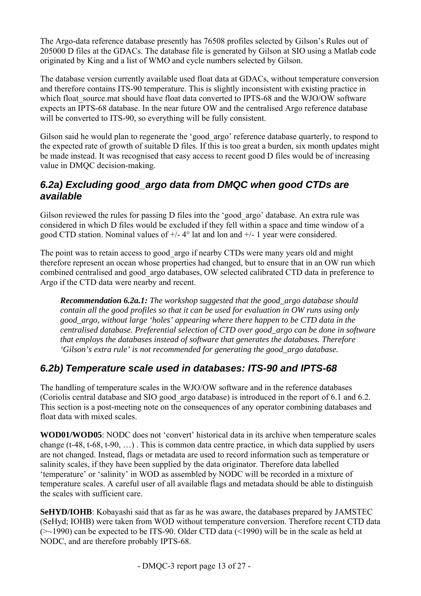<span id="page-12-0"></span>The Argo-data reference database presently has 76508 profiles selected by Gilson's Rules out of 205000 D files at the GDACs. The database file is generated by Gilson at SIO using a Matlab code originated by King and a list of WMO and cycle numbers selected by Gilson.

The database version currently available used float data at GDACs, without temperature conversion and therefore contains ITS-90 temperature. This is slightly inconsistent with existing practice in which float source.mat should have float data converted to IPTS-68 and the WJO/OW software expects an IPTS-68 database. In the near future OW and the centralised Argo reference database will be converted to ITS-90, so everything will be fully consistent.

Gilson said he would plan to regenerate the 'good argo' reference database quarterly, to respond to the expected rate of growth of suitable D files. If this is too great a burden, six month updates might be made instead. It was recognised that easy access to recent good D files would be of increasing value in DMQC decision-making.

#### *6.2a) Excluding good\_argo data from DMQC when good CTDs are available*

Gilson reviewed the rules for passing D files into the 'good argo' database. An extra rule was considered in which D files would be excluded if they fell within a space and time window of a good CTD station. Nominal values of +/- 4° lat and lon and +/- 1 year were considered.

The point was to retain access to good\_argo if nearby CTDs were many years old and might therefore represent an ocean whose properties had changed, but to ensure that in an OW run which combined centralised and good\_argo databases, OW selected calibrated CTD data in preference to Argo if the CTD data were nearby and recent.

*Recommendation 6.2a.1: The workshop suggested that the good\_argo database should contain all the good profiles so that it can be used for evaluation in OW runs using only good\_argo, without large 'holes' appearing where there happen to be CTD data in the centralised database. Preferential selection of CTD over good\_argo can be done in software that employs the databases instead of software that generates the databases. Therefore 'Gilson's extra rule' is not recommended for generating the good\_argo database.* 

### *6.2b) Temperature scale used in databases: ITS-90 and IPTS-68*

The handling of temperature scales in the WJO/OW software and in the reference databases (Coriolis central database and SIO good\_argo database) is introduced in the report of 6.1 and 6.2. This section is a post-meeting note on the consequences of any operator combining databases and float data with mixed scales.

**WOD01/WOD05**: NODC does not 'convert' historical data in its archive when temperature scales change (t-48, t-68, t-90, …) . This is common data centre practice, in which data supplied by users are not changed. Instead, flags or metadata are used to record information such as temperature or salinity scales, if they have been supplied by the data originator. Therefore data labelled 'temperature' or 'salinity' in WOD as assembled by NODC will be recorded in a mixture of temperature scales. A careful user of all available flags and metadata should be able to distinguish the scales with sufficient care.

**SeHYD/IOHB**: Kobayashi said that as far as he was aware, the databases prepared by JAMSTEC (SeHyd; IOHB) were taken from WOD without temperature conversion. Therefore recent CTD data  $(\geq 1990)$  can be expected to be ITS-90. Older CTD data (<1990) will be in the scale as held at NODC, and are therefore probably IPTS-68.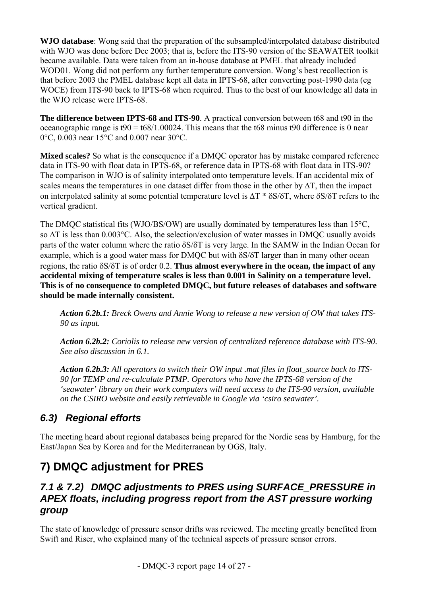<span id="page-13-0"></span>**WJO database**: Wong said that the preparation of the subsampled/interpolated database distributed with WJO was done before Dec 2003; that is, before the ITS-90 version of the SEAWATER toolkit became available. Data were taken from an in-house database at PMEL that already included WOD01. Wong did not perform any further temperature conversion. Wong's best recollection is that before 2003 the PMEL database kept all data in IPTS-68, after converting post-1990 data (eg WOCE) from ITS-90 back to IPTS-68 when required. Thus to the best of our knowledge all data in the WJO release were IPTS-68.

**The difference between IPTS-68 and ITS-90**. A practical conversion between t68 and t90 in the oceanographic range is  $t = 68/1.00024$ . This means that the t68 minus t90 difference is 0 near 0°C, 0.003 near 15°C and 0.007 near 30°C.

**Mixed scales?** So what is the consequence if a DMQC operator has by mistake compared reference data in ITS-90 with float data in IPTS-68, or reference data in IPTS-68 with float data in ITS-90? The comparison in WJO is of salinity interpolated onto temperature levels. If an accidental mix of scales means the temperatures in one dataset differ from those in the other by  $\Delta T$ , then the impact on interpolated salinity at some potential temperature level is  $\Delta T * \delta S/\delta T$ , where  $\delta S/\delta T$  refers to the vertical gradient.

The DMQC statistical fits (WJO/BS/OW) are usually dominated by temperatures less than 15°C, so ∆Τ is less than 0.003°C. Also, the selection/exclusion of water masses in DMQC usually avoids parts of the water column where the ratio δS/δT is very large. In the SAMW in the Indian Ocean for example, which is a good water mass for DMQC but with δS/δT larger than in many other ocean regions, the ratio δS/δT is of order 0.2. **Thus almost everywhere in the ocean, the impact of any accidental mixing of temperature scales is less than 0.001 in Salinity on a temperature level. This is of no consequence to completed DMQC, but future releases of databases and software should be made internally consistent.** 

*Action 6.2b.1: Breck Owens and Annie Wong to release a new version of OW that takes ITS-90 as input.* 

*Action 6.2b.2: Coriolis to release new version of centralized reference database with ITS-90. See also discussion in 6.1.* 

*Action 6.2b.3: All operators to switch their OW input .mat files in float\_source back to ITS-90 for TEMP and re-calculate PTMP. Operators who have the IPTS-68 version of the 'seawater' library on their work computers will need access to the ITS-90 version, available on the CSIRO website and easily retrievable in Google via 'csiro seawater'.* 

### *6.3) Regional efforts*

The meeting heard about regional databases being prepared for the Nordic seas by Hamburg, for the East/Japan Sea by Korea and for the Mediterranean by OGS, Italy.

## **7) DMQC adjustment for PRES**

#### *7.1 & 7.2) DMQC adjustments to PRES using SURFACE\_PRESSURE in APEX floats, including progress report from the AST pressure working group*

The state of knowledge of pressure sensor drifts was reviewed. The meeting greatly benefited from Swift and Riser, who explained many of the technical aspects of pressure sensor errors.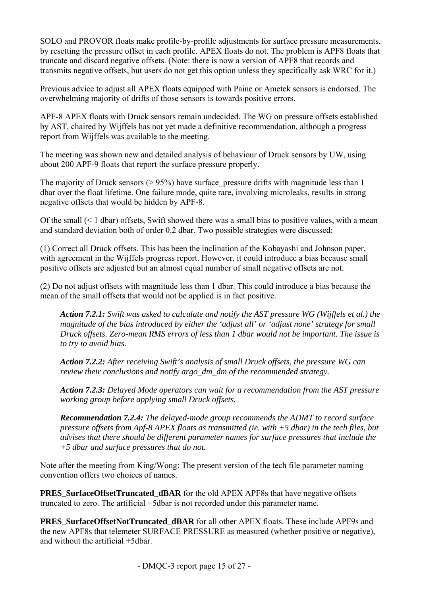SOLO and PROVOR floats make profile-by-profile adjustments for surface pressure measurements, by resetting the pressure offset in each profile. APEX floats do not. The problem is APF8 floats that truncate and discard negative offsets. (Note: there is now a version of APF8 that records and transmits negative offsets, but users do not get this option unless they specifically ask WRC for it.)

Previous advice to adjust all APEX floats equipped with Paine or Ametek sensors is endorsed. The overwhelming majority of drifts of those sensors is towards positive errors.

APF-8 APEX floats with Druck sensors remain undecided. The WG on pressure offsets established by AST, chaired by Wijffels has not yet made a definitive recommendation, although a progress report from Wijffels was available to the meeting.

The meeting was shown new and detailed analysis of behaviour of Druck sensors by UW, using about 200 APF-9 floats that report the surface pressure properly.

The majority of Druck sensors ( $> 95\%$ ) have surface pressure drifts with magnitude less than 1 dbar over the float lifetime. One failure mode, quite rare, involving microleaks, results in strong negative offsets that would be hidden by APF-8.

Of the small (< 1 dbar) offsets, Swift showed there was a small bias to positive values, with a mean and standard deviation both of order 0.2 dbar. Two possible strategies were discussed:

(1) Correct all Druck offsets. This has been the inclination of the Kobayashi and Johnson paper, with agreement in the Wijffels progress report. However, it could introduce a bias because small positive offsets are adjusted but an almost equal number of small negative offsets are not.

(2) Do not adjust offsets with magnitude less than 1 dbar. This could introduce a bias because the mean of the small offsets that would not be applied is in fact positive.

*Action 7.2.1: Swift was asked to calculate and notify the AST pressure WG (Wijffels et al.) the magnitude of the bias introduced by either the 'adjust all' or 'adjust none' strategy for small Druck offsets. Zero-mean RMS errors of less than 1 dbar would not be important. The issue is to try to avoid bias.* 

*Action 7.2.2: After receiving Swift's analysis of small Druck offsets, the pressure WG can review their conclusions and notify argo\_dm\_dm of the recommended strategy.* 

*Action 7.2.3: Delayed Mode operators can wait for a recommendation from the AST pressure working group before applying small Druck offsets.* 

*Recommendation 7.2.4: The delayed-mode group recommends the ADMT to record surface pressure offsets from Apf-8 APEX floats as transmitted (ie. with +5 dbar) in the tech files, but advises that there should be different parameter names for surface pressures that include the +5 dbar and surface pressures that do not.* 

Note after the meeting from King/Wong: The present version of the tech file parameter naming convention offers two choices of names.

**PRES\_SurfaceOffsetTruncated\_dBAR** for the old APEX APF8s that have negative offsets truncated to zero. The artificial +5dbar is not recorded under this parameter name.

**PRES\_SurfaceOffsetNotTruncated\_dBAR** for all other APEX floats. These include APF9s and the new APF8s that telemeter SURFACE PRESSURE as measured (whether positive or negative), and without the artificial +5dbar.

- DMQC-3 report page 15 of 27 -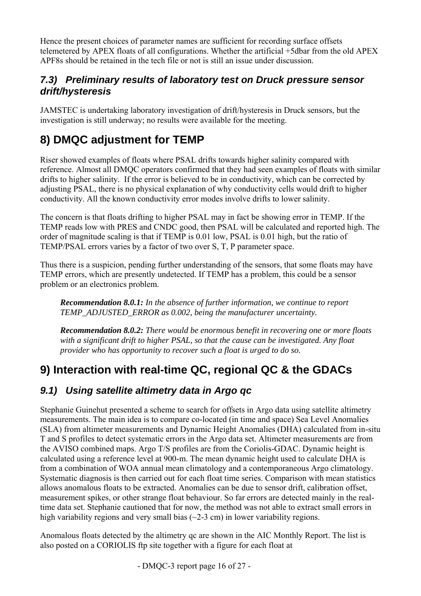<span id="page-15-0"></span>Hence the present choices of parameter names are sufficient for recording surface offsets telemetered by APEX floats of all configurations. Whether the artificial +5dbar from the old APEX APF8s should be retained in the tech file or not is still an issue under discussion.

#### *7.3) Preliminary results of laboratory test on Druck pressure sensor drift/hysteresis*

JAMSTEC is undertaking laboratory investigation of drift/hysteresis in Druck sensors, but the investigation is still underway; no results were available for the meeting.

## **8) DMQC adjustment for TEMP**

Riser showed examples of floats where PSAL drifts towards higher salinity compared with reference. Almost all DMQC operators confirmed that they had seen examples of floats with similar drifts to higher salinity. If the error is believed to be in conductivity, which can be corrected by adjusting PSAL, there is no physical explanation of why conductivity cells would drift to higher conductivity. All the known conductivity error modes involve drifts to lower salinity.

The concern is that floats drifting to higher PSAL may in fact be showing error in TEMP. If the TEMP reads low with PRES and CNDC good, then PSAL will be calculated and reported high. The order of magnitude scaling is that if TEMP is 0.01 low, PSAL is 0.01 high, but the ratio of TEMP/PSAL errors varies by a factor of two over S, T, P parameter space.

Thus there is a suspicion, pending further understanding of the sensors, that some floats may have TEMP errors, which are presently undetected. If TEMP has a problem, this could be a sensor problem or an electronics problem.

*Recommendation 8.0.1: In the absence of further information, we continue to report TEMP\_ADJUSTED\_ERROR as 0.002, being the manufacturer uncertainty.* 

*Recommendation 8.0.2: There would be enormous benefit in recovering one or more floats with a significant drift to higher PSAL, so that the cause can be investigated. Any float provider who has opportunity to recover such a float is urged to do so.* 

## **9) Interaction with real-time QC, regional QC & the GDACs**

### *9.1) Using satellite altimetry data in Argo qc*

Stephanie Guinehut presented a scheme to search for offsets in Argo data using satellite altimetry measurements. The main idea is to compare co-located (in time and space) Sea Level Anomalies (SLA) from altimeter measurements and Dynamic Height Anomalies (DHA) calculated from in-situ T and S profiles to detect systematic errors in the Argo data set. Altimeter measurements are from the AVISO combined maps. Argo T/S profiles are from the Coriolis-GDAC. Dynamic height is calculated using a reference level at 900-m. The mean dynamic height used to calculate DHA is from a combination of WOA annual mean climatology and a contemporaneous Argo climatology. Systematic diagnosis is then carried out for each float time series. Comparison with mean statistics allows anomalous floats to be extracted. Anomalies can be due to sensor drift, calibration offset, measurement spikes, or other strange float behaviour. So far errors are detected mainly in the realtime data set. Stephanie cautioned that for now, the method was not able to extract small errors in high variability regions and very small bias  $(\sim 2-3 \text{ cm})$  in lower variability regions.

Anomalous floats detected by the altimetry qc are shown in the AIC Monthly Report. The list is also posted on a CORIOLIS ftp site together with a figure for each float at

- DMQC-3 report page 16 of 27 -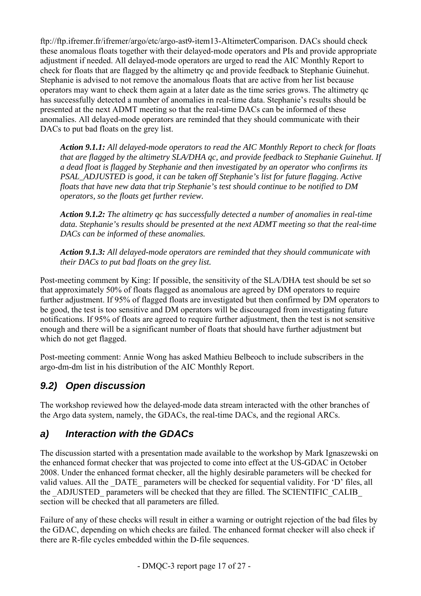<span id="page-16-0"></span><ftp://ftp.ifremer.fr/ifremer/argo/etc/argo-ast9-item13-AltimeterComparison>. DACs should check these anomalous floats together with their delayed-mode operators and PIs and provide appropriate adjustment if needed. All delayed-mode operators are urged to read the AIC Monthly Report to check for floats that are flagged by the altimetry qc and provide feedback to Stephanie Guinehut. Stephanie is advised to not remove the anomalous floats that are active from her list because operators may want to check them again at a later date as the time series grows. The altimetry qc has successfully detected a number of anomalies in real-time data. Stephanie's results should be presented at the next ADMT meeting so that the real-time DACs can be informed of these anomalies. All delayed-mode operators are reminded that they should communicate with their DACs to put bad floats on the grey list.

*Action 9.1.1: All delayed-mode operators to read the AIC Monthly Report to check for floats that are flagged by the altimetry SLA/DHA qc, and provide feedback to Stephanie Guinehut. If a dead float is flagged by Stephanie and then investigated by an operator who confirms its PSAL\_ADJUSTED is good, it can be taken off Stephanie's list for future flagging. Active floats that have new data that trip Stephanie's test should continue to be notified to DM operators, so the floats get further review.* 

*Action 9.1.2: The altimetry qc has successfully detected a number of anomalies in real-time data. Stephanie's results should be presented at the next ADMT meeting so that the real-time DACs can be informed of these anomalies.* 

*Action 9.1.3: All delayed-mode operators are reminded that they should communicate with their DACs to put bad floats on the grey list.* 

Post-meeting comment by King: If possible, the sensitivity of the SLA/DHA test should be set so that approximately 50% of floats flagged as anomalous are agreed by DM operators to require further adjustment. If 95% of flagged floats are investigated but then confirmed by DM operators to be good, the test is too sensitive and DM operators will be discouraged from investigating future notifications. If 95% of floats are agreed to require further adjustment, then the test is not sensitive enough and there will be a significant number of floats that should have further adjustment but which do not get flagged.

Post-meeting comment: Annie Wong has asked Mathieu Belbeoch to include subscribers in the argo-dm-dm list in his distribution of the AIC Monthly Report.

### *9.2) Open discussion*

The workshop reviewed how the delayed-mode data stream interacted with the other branches of the Argo data system, namely, the GDACs, the real-time DACs, and the regional ARCs.

### *a) Interaction with the GDACs*

The discussion started with a presentation made available to the workshop by Mark Ignaszewski on the enhanced format checker that was projected to come into effect at the US-GDAC in October 2008. Under the enhanced format checker, all the highly desirable parameters will be checked for valid values. All the DATE parameters will be checked for sequential validity. For 'D' files, all the \_ADJUSTED \_parameters will be checked that they are filled. The SCIENTIFIC\_CALIB section will be checked that all parameters are filled.

Failure of any of these checks will result in either a warning or outright rejection of the bad files by the GDAC, depending on which checks are failed. The enhanced format checker will also check if there are R-file cycles embedded within the D-file sequences.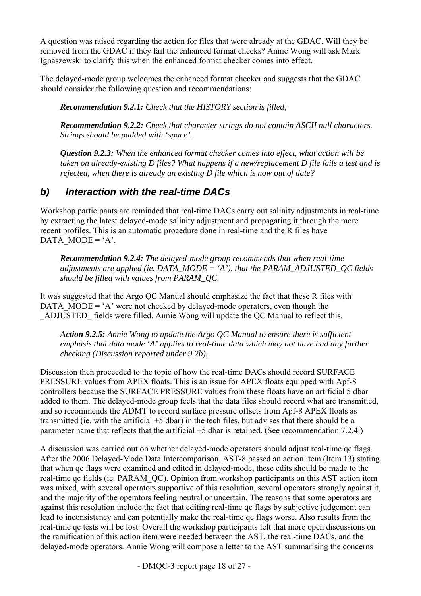<span id="page-17-0"></span>A question was raised regarding the action for files that were already at the GDAC. Will they be removed from the GDAC if they fail the enhanced format checks? Annie Wong will ask Mark Ignaszewski to clarify this when the enhanced format checker comes into effect.

The delayed-mode group welcomes the enhanced format checker and suggests that the GDAC should consider the following question and recommendations:

*Recommendation 9.2.1: Check that the HISTORY section is filled;* 

*Recommendation 9.2.2: Check that character strings do not contain ASCII null characters. Strings should be padded with 'space'.* 

*Question 9.2.3: When the enhanced format checker comes into effect, what action will be taken on already-existing D files? What happens if a new/replacement D file fails a test and is rejected, when there is already an existing D file which is now out of date?* 

#### *b) Interaction with the real-time DACs*

Workshop participants are reminded that real-time DACs carry out salinity adjustments in real-time by extracting the latest delayed-mode salinity adjustment and propagating it through the more recent profiles. This is an automatic procedure done in real-time and the R files have DATA MODE =  $'A$ .

*Recommendation 9.2.4: The delayed-mode group recommends that when real-time adjustments are applied (ie. DATA\_MODE = 'A'), that the PARAM\_ADJUSTED\_QC fields should be filled with values from PARAM\_QC.* 

It was suggested that the Argo QC Manual should emphasize the fact that these R files with DATA MODE = 'A' were not checked by delayed-mode operators, even though the \_ADJUSTED\_ fields were filled. Annie Wong will update the QC Manual to reflect this.

*Action 9.2.5: Annie Wong to update the Argo QC Manual to ensure there is sufficient emphasis that data mode 'A' applies to real-time data which may not have had any further checking (Discussion reported under 9.2b).* 

Discussion then proceeded to the topic of how the real-time DACs should record SURFACE PRESSURE values from APEX floats. This is an issue for APEX floats equipped with Apf-8 controllers because the SURFACE PRESSURE values from these floats have an artificial 5 dbar added to them. The delayed-mode group feels that the data files should record what are transmitted, and so recommends the ADMT to record surface pressure offsets from Apf-8 APEX floats as transmitted (ie. with the artificial +5 dbar) in the tech files, but advises that there should be a parameter name that reflects that the artificial +5 dbar is retained. (See recommendation 7.2.4.)

A discussion was carried out on whether delayed-mode operators should adjust real-time qc flags. After the 2006 Delayed-Mode Data Intercomparison, AST-8 passed an action item (Item 13) stating that when qc flags were examined and edited in delayed-mode, these edits should be made to the real-time qc fields (ie. PARAM\_QC). Opinion from workshop participants on this AST action item was mixed, with several operators supportive of this resolution, several operators strongly against it, and the majority of the operators feeling neutral or uncertain. The reasons that some operators are against this resolution include the fact that editing real-time qc flags by subjective judgement can lead to inconsistency and can potentially make the real-time qc flags worse. Also results from the real-time qc tests will be lost. Overall the workshop participants felt that more open discussions on the ramification of this action item were needed between the AST, the real-time DACs, and the delayed-mode operators. Annie Wong will compose a letter to the AST summarising the concerns

- DMQC-3 report page 18 of 27 -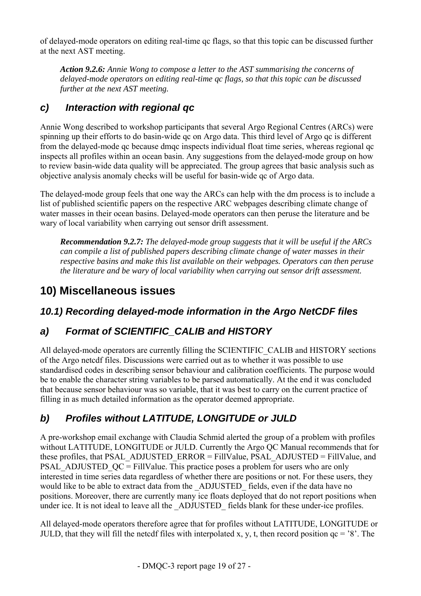<span id="page-18-0"></span>of delayed-mode operators on editing real-time qc flags, so that this topic can be discussed further at the next AST meeting.

*Action 9.2.6: Annie Wong to compose a letter to the AST summarising the concerns of delayed-mode operators on editing real-time qc flags, so that this topic can be discussed further at the next AST meeting.* 

### *c) Interaction with regional qc*

Annie Wong described to workshop participants that several Argo Regional Centres (ARCs) were spinning up their efforts to do basin-wide qc on Argo data. This third level of Argo qc is different from the delayed-mode qc because dmqc inspects individual float time series, whereas regional qc inspects all profiles within an ocean basin. Any suggestions from the delayed-mode group on how to review basin-wide data quality will be appreciated. The group agrees that basic analysis such as objective analysis anomaly checks will be useful for basin-wide qc of Argo data.

The delayed-mode group feels that one way the ARCs can help with the dm process is to include a list of published scientific papers on the respective ARC webpages describing climate change of water masses in their ocean basins. Delayed-mode operators can then peruse the literature and be wary of local variability when carrying out sensor drift assessment.

*Recommendation 9.2.7: The delayed-mode group suggests that it will be useful if the ARCs can compile a list of published papers describing climate change of water masses in their respective basins and make this list available on their webpages. Operators can then peruse the literature and be wary of local variability when carrying out sensor drift assessment.* 

## **10) Miscellaneous issues**

### *10.1) Recording delayed-mode information in the Argo NetCDF files*

### *a) Format of SCIENTIFIC\_CALIB and HISTORY*

All delayed-mode operators are currently filling the SCIENTIFIC CALIB and HISTORY sections of the Argo netcdf files. Discussions were carried out as to whether it was possible to use standardised codes in describing sensor behaviour and calibration coefficients. The purpose would be to enable the character string variables to be parsed automatically. At the end it was concluded that because sensor behaviour was so variable, that it was best to carry on the current practice of filling in as much detailed information as the operator deemed appropriate.

## *b) Profiles without LATITUDE, LONGITUDE or JULD*

A pre-workshop email exchange with Claudia Schmid alerted the group of a problem with profiles without LATITUDE, LONGITUDE or JULD. Currently the Argo QC Manual recommends that for these profiles, that PSAL\_ADJUSTED\_ERROR = FillValue, PSAL\_ADJUSTED = FillValue, and PSAL\_ADJUSTED\_QC = FillValue. This practice poses a problem for users who are only interested in time series data regardless of whether there are positions or not. For these users, they would like to be able to extract data from the \_ADJUSTED\_ fields, even if the data have no positions. Moreover, there are currently many ice floats deployed that do not report positions when under ice. It is not ideal to leave all the ADJUSTED fields blank for these under-ice profiles.

All delayed-mode operators therefore agree that for profiles without LATITUDE, LONGITUDE or JULD, that they will fill the netcdf files with interpolated x, y, t, then record position  $qc = '8'$ . The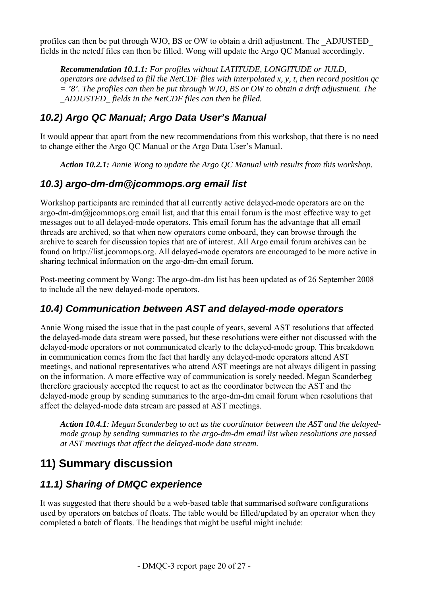<span id="page-19-0"></span>profiles can then be put through WJO, BS or OW to obtain a drift adjustment. The \_ADJUSTED\_ fields in the netcdf files can then be filled. Wong will update the Argo QC Manual accordingly.

*Recommendation 10.1.1: For profiles without LATITUDE, LONGITUDE or JULD, operators are advised to fill the NetCDF files with interpolated x, y, t, then record position qc = '8'. The profiles can then be put through WJO, BS or OW to obtain a drift adjustment. The \_ADJUSTED\_ fields in the NetCDF files can then be filled.* 

#### *10.2) Argo QC Manual; Argo Data User's Manual*

It would appear that apart from the new recommendations from this workshop, that there is no need to change either the Argo QC Manual or the Argo Data User's Manual.

*Action 10.2.1: Annie Wong to update the Argo QC Manual with results from this workshop.* 

#### *10.3) argo-dm-dm@jcommops.org email list*

Workshop participants are reminded that all currently active delayed-mode operators are on the argo-dm-dm@jcommops.org email list, and that this email forum is the most effective way to get messages out to all delayed-mode operators. This email forum has the advantage that all email threads are archived, so that when new operators come onboard, they can browse through the archive to search for discussion topics that are of interest. All Argo email forum archives can be found on [http://list.jcommops.org](http://list.jcommops.org/). All delayed-mode operators are encouraged to be more active in sharing technical information on the argo-dm-dm email forum.

Post-meeting comment by Wong: The argo-dm-dm list has been updated as of 26 September 2008 to include all the new delayed-mode operators.

#### *10.4) Communication between AST and delayed-mode operators*

Annie Wong raised the issue that in the past couple of years, several AST resolutions that affected the delayed-mode data stream were passed, but these resolutions were either not discussed with the delayed-mode operators or not communicated clearly to the delayed-mode group. This breakdown in communication comes from the fact that hardly any delayed-mode operators attend AST meetings, and national representatives who attend AST meetings are not always diligent in passing on the information. A more effective way of communication is sorely needed. Megan Scanderbeg therefore graciously accepted the request to act as the coordinator between the AST and the delayed-mode group by sending summaries to the argo-dm-dm email forum when resolutions that affect the delayed-mode data stream are passed at AST meetings.

*Action 10.4.1: Megan Scanderbeg to act as the coordinator between the AST and the delayedmode group by sending summaries to the argo-dm-dm email list when resolutions are passed at AST meetings that affect the delayed-mode data stream.* 

## **11) Summary discussion**

#### *11.1) Sharing of DMQC experience*

It was suggested that there should be a web-based table that summarised software configurations used by operators on batches of floats. The table would be filled/updated by an operator when they completed a batch of floats. The headings that might be useful might include: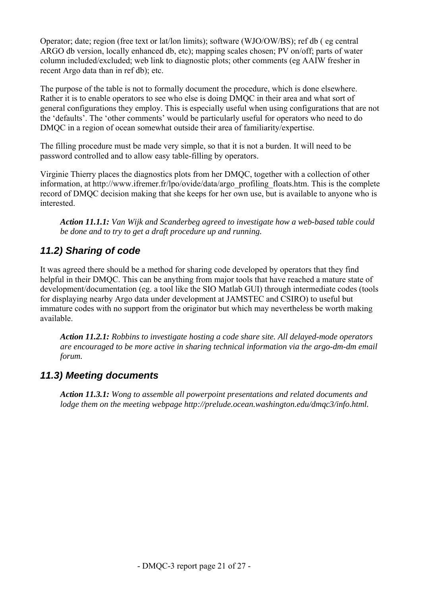<span id="page-20-0"></span>Operator; date; region (free text or lat/lon limits); software (WJO/OW/BS); ref db ( eg central ARGO db version, locally enhanced db, etc); mapping scales chosen; PV on/off; parts of water column included/excluded; web link to diagnostic plots; other comments (eg AAIW fresher in recent Argo data than in ref db); etc.

The purpose of the table is not to formally document the procedure, which is done elsewhere. Rather it is to enable operators to see who else is doing DMQC in their area and what sort of general configurations they employ. This is especially useful when using configurations that are not the 'defaults'. The 'other comments' would be particularly useful for operators who need to do DMQC in a region of ocean somewhat outside their area of familiarity/expertise.

The filling procedure must be made very simple, so that it is not a burden. It will need to be password controlled and to allow easy table-filling by operators.

Virginie Thierry places the diagnostics plots from her DMQC, together with a collection of other information, at http://www.ifremer.fr/lpo/ovide/data/argo\_profiling\_floats.htm. This is the complete record of DMQC decision making that she keeps for her own use, but is available to anyone who is interested.

*Action 11.1.1: Van Wijk and Scanderbeg agreed to investigate how a web-based table could be done and to try to get a draft procedure up and running.* 

### *11.2) Sharing of code*

It was agreed there should be a method for sharing code developed by operators that they find helpful in their DMQC. This can be anything from major tools that have reached a mature state of development/documentation (eg. a tool like the SIO Matlab GUI) through intermediate codes (tools for displaying nearby Argo data under development at JAMSTEC and CSIRO) to useful but immature codes with no support from the originator but which may nevertheless be worth making available.

*Action 11.2.1: Robbins to investigate hosting a code share site. All delayed-mode operators are encouraged to be more active in sharing technical information via the argo-dm-dm email forum.* 

#### *11.3) Meeting documents*

*Action 11.3.1: Wong to assemble all powerpoint presentations and related documents and lodge them on the meeting webpage http://prelude.ocean.washington.edu/dmqc3/info.html.*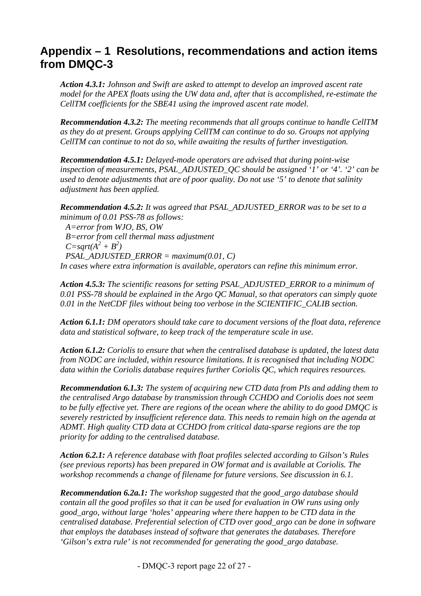## <span id="page-21-0"></span>**Appendix – 1 Resolutions, recommendations and action items from DMQC-3**

*Action 4.3.1: Johnson and Swift are asked to attempt to develop an improved ascent rate model for the APEX floats using the UW data and, after that is accomplished, re-estimate the CellTM coefficients for the SBE41 using the improved ascent rate model.* 

*Recommendation 4.3.2: The meeting recommends that all groups continue to handle CellTM as they do at present. Groups applying CellTM can continue to do so. Groups not applying CellTM can continue to not do so, while awaiting the results of further investigation.*

*Recommendation 4.5.1: Delayed-mode operators are advised that during point-wise inspection of measurements, PSAL\_ADJUSTED\_QC should be assigned '1' or '4'. '2' can be used to denote adjustments that are of poor quality. Do not use '5' to denote that salinity adjustment has been applied.* 

*Recommendation 4.5.2: It was agreed that PSAL\_ADJUSTED\_ERROR was to be set to a minimum of 0.01 PSS-78 as follows: A=error from WJO, BS, OW B=error from cell thermal mass adjustment*   $C = sqrt(A^2 + B^2)$ *PSAL\_ADJUSTED\_ERROR = maximum(0.01, C) In cases where extra information is available, operators can refine this minimum error.* 

*Action 4.5.3: The scientific reasons for setting PSAL\_ADJUSTED\_ERROR to a minimum of 0.01 PSS-78 should be explained in the Argo QC Manual, so that operators can simply quote 0.01 in the NetCDF files without being too verbose in the SCIENTIFIC\_CALIB section.* 

*Action 6.1.1: DM operators should take care to document versions of the float data, reference data and statistical software, to keep track of the temperature scale in use.* 

*Action 6.1.2: Coriolis to ensure that when the centralised database is updated, the latest data from NODC are included, within resource limitations. It is recognised that including NODC data within the Coriolis database requires further Coriolis QC, which requires resources.* 

*Recommendation 6.1.3: The system of acquiring new CTD data from PIs and adding them to the centralised Argo database by transmission through CCHDO and Coriolis does not seem to be fully effective yet. There are regions of the ocean where the ability to do good DMQC is severely restricted by insufficient reference data. This needs to remain high on the agenda at ADMT. High quality CTD data at CCHDO from critical data-sparse regions are the top priority for adding to the centralised database.* 

*Action 6.2.1: A reference database with float profiles selected according to Gilson's Rules (see previous reports) has been prepared in OW format and is available at Coriolis. The workshop recommends a change of filename for future versions. See discussion in 6.1.* 

*Recommendation 6.2a.1: The workshop suggested that the good\_argo database should contain all the good profiles so that it can be used for evaluation in OW runs using only good\_argo, without large 'holes' appearing where there happen to be CTD data in the centralised database. Preferential selection of CTD over good\_argo can be done in software that employs the databases instead of software that generates the databases. Therefore 'Gilson's extra rule' is not recommended for generating the good\_argo database.*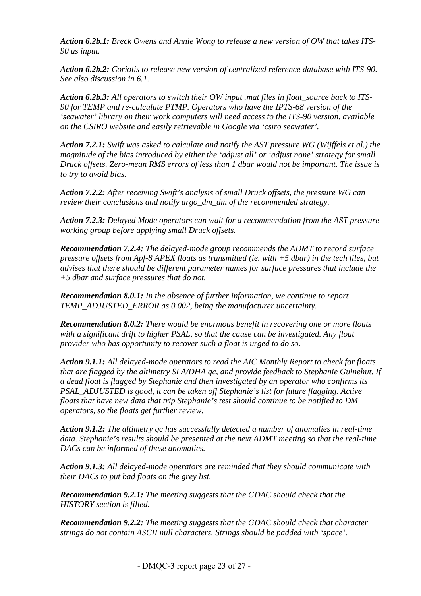*Action 6.2b.1: Breck Owens and Annie Wong to release a new version of OW that takes ITS-90 as input.* 

*Action 6.2b.2: Coriolis to release new version of centralized reference database with ITS-90. See also discussion in 6.1.* 

Action 6.2b.3: All operators to switch their OW input .mat files in float source back to ITS-*90 for TEMP and re-calculate PTMP. Operators who have the IPTS-68 version of the 'seawater' library on their work computers will need access to the ITS-90 version, available on the CSIRO website and easily retrievable in Google via 'csiro seawater'.* 

*Action 7.2.1: Swift was asked to calculate and notify the AST pressure WG (Wijffels et al.) the magnitude of the bias introduced by either the 'adjust all' or 'adjust none' strategy for small Druck offsets. Zero-mean RMS errors of less than 1 dbar would not be important. The issue is to try to avoid bias.* 

*Action 7.2.2: After receiving Swift's analysis of small Druck offsets, the pressure WG can review their conclusions and notify argo\_dm\_dm of the recommended strategy.* 

*Action 7.2.3: Delayed Mode operators can wait for a recommendation from the AST pressure working group before applying small Druck offsets.* 

*Recommendation 7.2.4: The delayed-mode group recommends the ADMT to record surface pressure offsets from Apf-8 APEX floats as transmitted (ie. with +5 dbar) in the tech files, but advises that there should be different parameter names for surface pressures that include the +5 dbar and surface pressures that do not.* 

*Recommendation 8.0.1: In the absence of further information, we continue to report TEMP\_ADJUSTED\_ERROR as 0.002, being the manufacturer uncertainty.* 

*Recommendation 8.0.2: There would be enormous benefit in recovering one or more floats with a significant drift to higher PSAL, so that the cause can be investigated. Any float provider who has opportunity to recover such a float is urged to do so.* 

*Action 9.1.1: All delayed-mode operators to read the AIC Monthly Report to check for floats that are flagged by the altimetry SLA/DHA qc, and provide feedback to Stephanie Guinehut. If a dead float is flagged by Stephanie and then investigated by an operator who confirms its PSAL\_ADJUSTED is good, it can be taken off Stephanie's list for future flagging. Active floats that have new data that trip Stephanie's test should continue to be notified to DM operators, so the floats get further review.* 

*Action 9.1.2: The altimetry qc has successfully detected a number of anomalies in real-time data. Stephanie's results should be presented at the next ADMT meeting so that the real-time DACs can be informed of these anomalies.* 

*Action 9.1.3: All delayed-mode operators are reminded that they should communicate with their DACs to put bad floats on the grey list.* 

*Recommendation 9.2.1: The meeting suggests that the GDAC should check that the HISTORY section is filled.* 

*Recommendation 9.2.2: The meeting suggests that the GDAC should check that character strings do not contain ASCII null characters. Strings should be padded with 'space'.*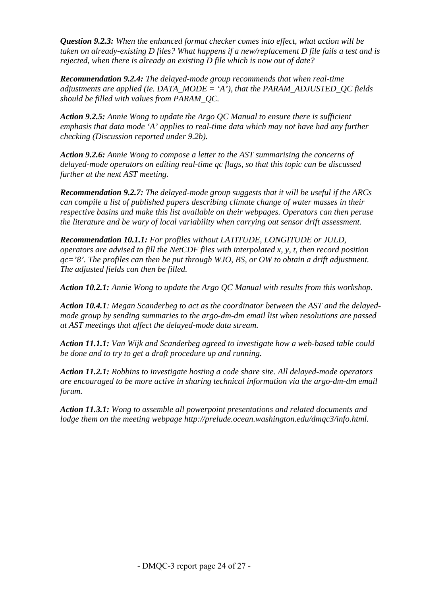*Question 9.2.3: When the enhanced format checker comes into effect, what action will be taken on already-existing D files? What happens if a new/replacement D file fails a test and is rejected, when there is already an existing D file which is now out of date?* 

*Recommendation 9.2.4: The delayed-mode group recommends that when real-time adjustments are applied (ie. DATA\_MODE = 'A'), that the PARAM\_ADJUSTED\_QC fields should be filled with values from PARAM\_QC.* 

*Action 9.2.5: Annie Wong to update the Argo QC Manual to ensure there is sufficient emphasis that data mode 'A' applies to real-time data which may not have had any further checking (Discussion reported under 9.2b).* 

*Action 9.2.6: Annie Wong to compose a letter to the AST summarising the concerns of delayed-mode operators on editing real-time qc flags, so that this topic can be discussed further at the next AST meeting.* 

*Recommendation 9.2.7: The delayed-mode group suggests that it will be useful if the ARCs can compile a list of published papers describing climate change of water masses in their respective basins and make this list available on their webpages. Operators can then peruse the literature and be wary of local variability when carrying out sensor drift assessment.* 

*Recommendation 10.1.1: For profiles without LATITUDE, LONGITUDE or JULD, operators are advised to fill the NetCDF files with interpolated x, y, t, then record position qc='8'. The profiles can then be put through WJO, BS, or OW to obtain a drift adjustment. The adjusted fields can then be filled.* 

*Action 10.2.1: Annie Wong to update the Argo QC Manual with results from this workshop.* 

*Action 10.4.1: Megan Scanderbeg to act as the coordinator between the AST and the delayedmode group by sending summaries to the argo-dm-dm email list when resolutions are passed at AST meetings that affect the delayed-mode data stream.* 

*Action 11.1.1: Van Wijk and Scanderbeg agreed to investigate how a web-based table could be done and to try to get a draft procedure up and running.* 

*Action 11.2.1: Robbins to investigate hosting a code share site. All delayed-mode operators are encouraged to be more active in sharing technical information via the argo-dm-dm email forum.* 

*Action 11.3.1: Wong to assemble all powerpoint presentations and related documents and lodge them on the meeting webpage http://prelude.ocean.washington.edu/dmqc3/info.html.*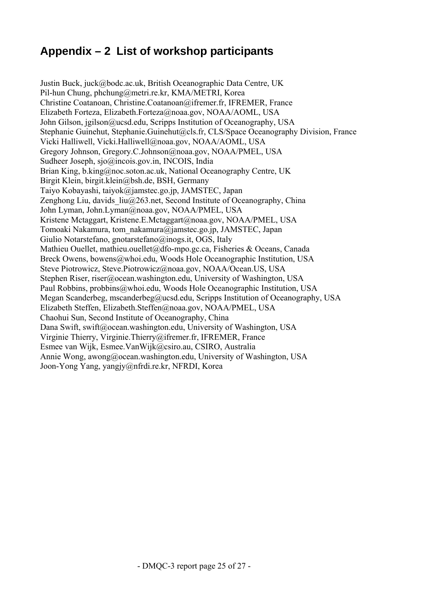## <span id="page-24-0"></span>**Appendix – 2 List of workshop participants**

Justin Buck, juck@bodc.ac.uk, British Oceanographic Data Centre, UK Pil-hun Chung, [phchung@metri.re.kr](mailto:phchung@metri.re.kr), KMA/METRI, Korea Christine Coatanoan, Christine.Coatanoan@ifremer.fr, IFREMER, France Elizabeth Forteza, Elizabeth.Forteza@noaa.gov, NOAA/AOML, USA John Gilson, jgilson@ucsd.edu, Scripps Institution of Oceanography, USA Stephanie Guinehut, Stephanie.Guinehut@cls.fr, CLS/Space Oceanography Division, France Vicki Halliwell, Vicki.Halliwell@noaa.gov, NOAA/AOML, USA Gregory Johnson, Gregory.C.Johnson@noaa.gov, NOAA/PMEL, USA Sudheer Joseph, sjo@incois.gov.in, INCOIS, India Brian King, b.king@noc.soton.ac.uk, National Oceanography Centre, UK Birgit Klein, birgit.klein@bsh.de, BSH, Germany Taiyo Kobayashi, taiyok@jamstec.go.jp, JAMSTEC, Japan Zenghong Liu, davids  $liu(a)$ 263.net, Second Institute of Oceanography, China John Lyman, [John.Lyman@noaa.gov,](mailto:John.Lyman@noaa.gov) NOAA/PMEL, USA Kristene Mctaggart, Kristene.E.Mctaggart@noaa.gov, NOAA/PMEL, USA Tomoaki Nakamura, tom\_nakamura@jamstec.go.jp, JAMSTEC, Japan Giulio Notarstefano, gnotarstefano@inogs.it, OGS, Italy Mathieu Ouellet, mathieu.ouellet@dfo-mpo.gc.ca, Fisheries & Oceans, Canada Breck Owens, bowens@whoi.edu, Woods Hole Oceanographic Institution, USA Steve Piotrowicz, Steve.Piotrowicz@noaa.gov, NOAA/Ocean.US, USA Stephen Riser, riser@ocean.washington.edu, University of Washington, USA Paul Robbins, probbins@whoi.edu, Woods Hole Oceanographic Institution, USA Megan Scanderbeg, mscanderbeg@ucsd.edu, Scripps Institution of Oceanography, USA Elizabeth Steffen, [Elizabeth.Steffen@noaa.gov](mailto:Elizabeth.Steffen@noaa.gov), NOAA/PMEL, USA Chaohui Sun, Second Institute of Oceanography, China Dana Swift, [swift@ocean.washington.edu,](mailto:swift@ocean.washington.edu) University of Washington, USA Virginie Thierry, Virginie.Thierry@ifremer.fr, IFREMER, France Esmee van Wijk, Esmee.VanWijk@csiro.au, CSIRO, Australia Annie Wong, awong@ocean.washington.edu, University of Washington, USA Joon-Yong Yang, yangjy@nfrdi.re.kr, NFRDI, Korea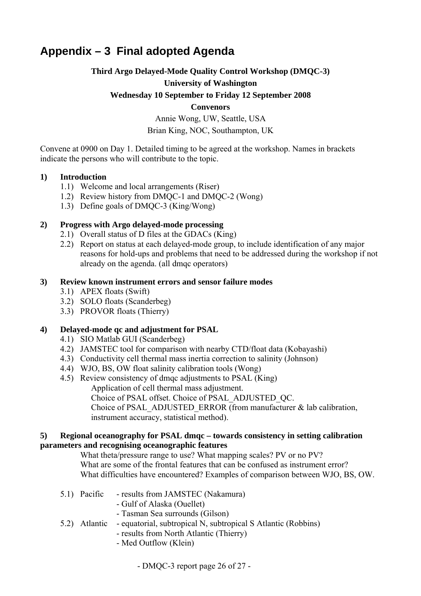## <span id="page-25-0"></span>**Appendix – 3 Final adopted Agenda**

#### **Third Argo Delayed-Mode Quality Control Workshop (DMQC-3)**

#### **University of Washington**

#### **Wednesday 10 September to Friday 12 September 2008**

#### **Convenors**

Annie Wong, UW, Seattle, USA Brian King, NOC, Southampton, UK

Convene at 0900 on Day 1. Detailed timing to be agreed at the workshop. Names in brackets indicate the persons who will contribute to the topic.

#### **1) Introduction**

- 1.1) Welcome and local arrangements (Riser)
- 1.2) Review history from DMQC-1 and DMQC-2 (Wong)
- 1.3) Define goals of DMQC-3 (King/Wong)

#### **2) Progress with Argo delayed-mode processing**

- 2.1) Overall status of D files at the GDACs (King)
- 2.2) Report on status at each delayed-mode group, to include identification of any major reasons for hold-ups and problems that need to be addressed during the workshop if not already on the agenda. (all dmqc operators)

#### **3) Review known instrument errors and sensor failure modes**

- 3.1) APEX floats (Swift)
- 3.2) SOLO floats (Scanderbeg)
- 3.3) PROVOR floats (Thierry)

#### **4) Delayed-mode qc and adjustment for PSAL**

- 4.1) SIO Matlab GUI (Scanderbeg)
- 4.2) JAMSTEC tool for comparison with nearby CTD/float data (Kobayashi)
- 4.3) Conductivity cell thermal mass inertia correction to salinity (Johnson)
- 4.4) WJO, BS, OW float salinity calibration tools (Wong)
- 4.5) Review consistency of dmqc adjustments to PSAL (King) Application of cell thermal mass adjustment. Choice of PSAL offset. Choice of PSAL\_ADJUSTED\_QC. Choice of PSAL\_ADJUSTED\_ERROR (from manufacturer  $\&$  lab calibration, instrument accuracy, statistical method).

#### **5) Regional oceanography for PSAL dmqc – towards consistency in setting calibration parameters and recognising oceanographic features**

What theta/pressure range to use? What mapping scales? PV or no PV? What are some of the frontal features that can be confused as instrument error? What difficulties have encountered? Examples of comparison between WJO, BS, OW.

- 5.1) Pacific results from JAMSTEC (Nakamura)
	- Gulf of Alaska (Ouellet)
	- Tasman Sea surrounds (Gilson)
- 5.2) Atlantic equatorial, subtropical N, subtropical S Atlantic (Robbins)
	- results from North Atlantic (Thierry)
	- Med Outflow (Klein)